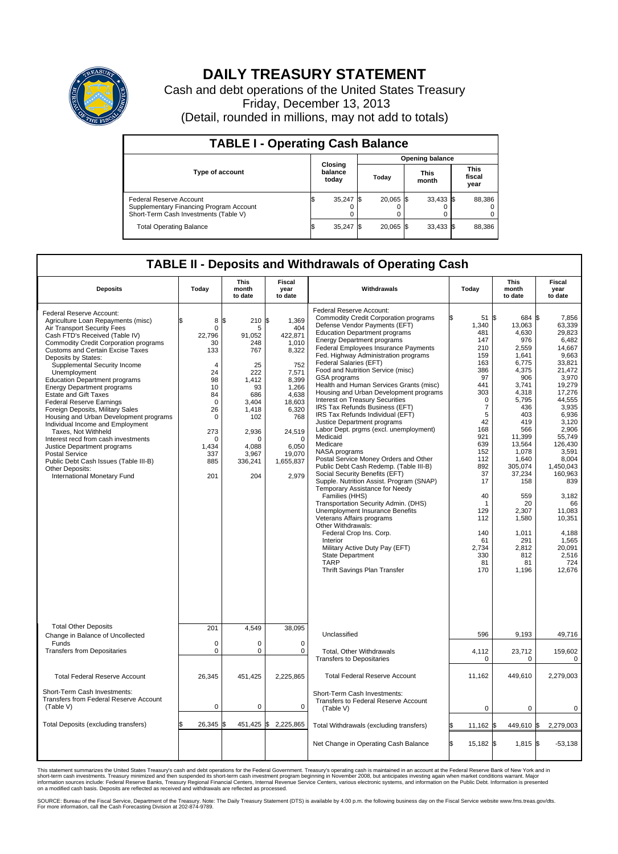

## **DAILY TREASURY STATEMENT**

Cash and debt operations of the United States Treasury Friday, December 13, 2013 (Detail, rounded in millions, may not add to totals)

| <b>TABLE I - Operating Cash Balance</b>                                                                     |  |                             |  |             |  |                      |  |                               |  |  |  |
|-------------------------------------------------------------------------------------------------------------|--|-----------------------------|--|-------------|--|----------------------|--|-------------------------------|--|--|--|
| <b>Opening balance</b>                                                                                      |  |                             |  |             |  |                      |  |                               |  |  |  |
| <b>Type of account</b>                                                                                      |  | Closing<br>balance<br>today |  | Today       |  | <b>This</b><br>month |  | <b>This</b><br>fiscal<br>year |  |  |  |
| Federal Reserve Account<br>Supplementary Financing Program Account<br>Short-Term Cash Investments (Table V) |  | $35,247$ \$                 |  | $20.065$ \$ |  | $33,433$ \$          |  | 88,386                        |  |  |  |
| <b>Total Operating Balance</b>                                                                              |  | $35,247$ \$                 |  | 20,065 \$   |  | 33,433 \$            |  | 88,386                        |  |  |  |

## **TABLE II - Deposits and Withdrawals of Operating Cash**

| <b>Deposits</b>                                                                                                                                                                                                                                                                                                                                                                                                                                                                                                                                                                                                                                                                                                                                                               | Today                                                                                                                                                                          | <b>This</b><br>month<br>to date                                                                                                                      | <b>Fiscal</b><br>year<br>to date                                                                                                                                                    | Withdrawals                                                                                                                                                                                                                                                                                                                                                                                                                                                                                                                                                                                                                                                                                                                                                                                                                                                                                                                                                                                                                                                                                                                                                                        | Today                                                                                                                                                                                                                                                     | <b>This</b><br>month<br>to date                                                                                                                                                                                                                                                 | <b>Fiscal</b><br>year<br>to date                                                                                                                                                                                                                                                                                           |
|-------------------------------------------------------------------------------------------------------------------------------------------------------------------------------------------------------------------------------------------------------------------------------------------------------------------------------------------------------------------------------------------------------------------------------------------------------------------------------------------------------------------------------------------------------------------------------------------------------------------------------------------------------------------------------------------------------------------------------------------------------------------------------|--------------------------------------------------------------------------------------------------------------------------------------------------------------------------------|------------------------------------------------------------------------------------------------------------------------------------------------------|-------------------------------------------------------------------------------------------------------------------------------------------------------------------------------------|------------------------------------------------------------------------------------------------------------------------------------------------------------------------------------------------------------------------------------------------------------------------------------------------------------------------------------------------------------------------------------------------------------------------------------------------------------------------------------------------------------------------------------------------------------------------------------------------------------------------------------------------------------------------------------------------------------------------------------------------------------------------------------------------------------------------------------------------------------------------------------------------------------------------------------------------------------------------------------------------------------------------------------------------------------------------------------------------------------------------------------------------------------------------------------|-----------------------------------------------------------------------------------------------------------------------------------------------------------------------------------------------------------------------------------------------------------|---------------------------------------------------------------------------------------------------------------------------------------------------------------------------------------------------------------------------------------------------------------------------------|----------------------------------------------------------------------------------------------------------------------------------------------------------------------------------------------------------------------------------------------------------------------------------------------------------------------------|
| Federal Reserve Account:<br>Agriculture Loan Repayments (misc)<br>Air Transport Security Fees<br>Cash FTD's Received (Table IV)<br><b>Commodity Credit Corporation programs</b><br><b>Customs and Certain Excise Taxes</b><br>Deposits by States:<br>Supplemental Security Income<br>Unemployment<br><b>Education Department programs</b><br><b>Energy Department programs</b><br><b>Estate and Gift Taxes</b><br><b>Federal Reserve Earnings</b><br>Foreign Deposits, Military Sales<br>Housing and Urban Development programs<br>Individual Income and Employment<br>Taxes, Not Withheld<br>Interest recd from cash investments<br>Justice Department programs<br>Postal Service<br>Public Debt Cash Issues (Table III-B)<br>Other Deposits:<br>International Monetary Fund | 8<br>ፍ<br>$\mathbf 0$<br>22,796<br>30<br>133<br>$\overline{4}$<br>24<br>98<br>10<br>84<br>$\mathbf 0$<br>26<br>$\mathbf 0$<br>273<br>$\mathbf 0$<br>1,434<br>337<br>885<br>201 | \$<br>210<br>5<br>91.052<br>248<br>767<br>25<br>222<br>1,412<br>93<br>686<br>3,404<br>1,418<br>102<br>2,936<br>n<br>4,088<br>3,967<br>336,241<br>204 | \$<br>1,369<br>404<br>422.871<br>1,010<br>8,322<br>752<br>7,571<br>8,399<br>1.266<br>4,638<br>18,603<br>6,320<br>768<br>24,519<br>$\Omega$<br>6,050<br>19,070<br>1,655,837<br>2,979 | Federal Reserve Account:<br><b>Commodity Credit Corporation programs</b><br>Defense Vendor Payments (EFT)<br><b>Education Department programs</b><br><b>Energy Department programs</b><br>Federal Employees Insurance Payments<br>Fed. Highway Administration programs<br>Federal Salaries (EFT)<br>Food and Nutrition Service (misc)<br>GSA programs<br>Health and Human Services Grants (misc)<br>Housing and Urban Development programs<br>Interest on Treasury Securities<br>IRS Tax Refunds Business (EFT)<br>IRS Tax Refunds Individual (EFT)<br>Justice Department programs<br>Labor Dept. prgms (excl. unemployment)<br>Medicaid<br>Medicare<br>NASA programs<br>Postal Service Money Orders and Other<br>Public Debt Cash Redemp. (Table III-B)<br>Social Security Benefits (EFT)<br>Supple. Nutrition Assist. Program (SNAP)<br>Temporary Assistance for Needy<br>Families (HHS)<br>Transportation Security Admin. (DHS)<br><b>Unemployment Insurance Benefits</b><br>Veterans Affairs programs<br>Other Withdrawals:<br>Federal Crop Ins. Corp.<br>Interior<br>Military Active Duty Pay (EFT)<br><b>State Department</b><br><b>TARP</b><br>Thrift Savings Plan Transfer | 51S<br>1,340<br>481<br>147<br>210<br>159<br>163<br>386<br>97<br>441<br>303<br>$\mathbf 0$<br>$\overline{7}$<br>5<br>42<br>168<br>921<br>639<br>152<br>112<br>892<br>37<br>17<br>40<br>$\mathbf 1$<br>129<br>112<br>140<br>61<br>2,734<br>330<br>81<br>170 | 684<br>13,063<br>4,630<br>976<br>2,559<br>1,641<br>6,775<br>4,375<br>906<br>3,741<br>4.318<br>5,795<br>436<br>403<br>419<br>566<br>11,399<br>13,564<br>1,078<br>1,640<br>305,074<br>37,234<br>158<br>559<br>20<br>2,307<br>1,580<br>1,011<br>291<br>2,812<br>812<br>81<br>1,196 | l\$<br>7,856<br>63,339<br>29,823<br>6.482<br>14.667<br>9,663<br>33,821<br>21.472<br>3,970<br>19,279<br>17,276<br>44,555<br>3,935<br>6,936<br>3.120<br>2,906<br>55.749<br>126,430<br>3,591<br>8,004<br>1,450,043<br>160,963<br>839<br>3,182<br>66<br>11,083<br>10,351<br>4,188<br>1,565<br>20,091<br>2,516<br>724<br>12,676 |
| <b>Total Other Deposits</b><br>Change in Balance of Uncollected                                                                                                                                                                                                                                                                                                                                                                                                                                                                                                                                                                                                                                                                                                               | 201                                                                                                                                                                            | 4.549                                                                                                                                                | 38,095                                                                                                                                                                              | Unclassified                                                                                                                                                                                                                                                                                                                                                                                                                                                                                                                                                                                                                                                                                                                                                                                                                                                                                                                                                                                                                                                                                                                                                                       | 596                                                                                                                                                                                                                                                       | 9,193                                                                                                                                                                                                                                                                           | 49,716                                                                                                                                                                                                                                                                                                                     |
| Funds<br><b>Transfers from Depositaries</b>                                                                                                                                                                                                                                                                                                                                                                                                                                                                                                                                                                                                                                                                                                                                   | $\mathbf 0$<br>$\mathbf 0$                                                                                                                                                     | 0<br>0                                                                                                                                               | 0<br>$\mathbf 0$                                                                                                                                                                    | Total, Other Withdrawals<br><b>Transfers to Depositaries</b>                                                                                                                                                                                                                                                                                                                                                                                                                                                                                                                                                                                                                                                                                                                                                                                                                                                                                                                                                                                                                                                                                                                       | 4,112<br>0                                                                                                                                                                                                                                                | 23,712<br>0                                                                                                                                                                                                                                                                     | 159,602                                                                                                                                                                                                                                                                                                                    |
| <b>Total Federal Reserve Account</b>                                                                                                                                                                                                                                                                                                                                                                                                                                                                                                                                                                                                                                                                                                                                          | 26,345                                                                                                                                                                         | 451,425                                                                                                                                              | 2,225,865                                                                                                                                                                           | <b>Total Federal Reserve Account</b>                                                                                                                                                                                                                                                                                                                                                                                                                                                                                                                                                                                                                                                                                                                                                                                                                                                                                                                                                                                                                                                                                                                                               | 11,162                                                                                                                                                                                                                                                    | 449,610                                                                                                                                                                                                                                                                         | 0<br>2,279,003                                                                                                                                                                                                                                                                                                             |
| Short-Term Cash Investments:<br>Transfers from Federal Reserve Account<br>(Table V)                                                                                                                                                                                                                                                                                                                                                                                                                                                                                                                                                                                                                                                                                           | $\pmb{0}$                                                                                                                                                                      | 0                                                                                                                                                    | 0                                                                                                                                                                                   | Short-Term Cash Investments:<br>Transfers to Federal Reserve Account<br>(Table V)                                                                                                                                                                                                                                                                                                                                                                                                                                                                                                                                                                                                                                                                                                                                                                                                                                                                                                                                                                                                                                                                                                  | $\mathbf 0$                                                                                                                                                                                                                                               | $\mathbf 0$                                                                                                                                                                                                                                                                     | 0                                                                                                                                                                                                                                                                                                                          |
| Total Deposits (excluding transfers)                                                                                                                                                                                                                                                                                                                                                                                                                                                                                                                                                                                                                                                                                                                                          | 26,345<br>\$                                                                                                                                                                   | \$                                                                                                                                                   | 451,425 \$2,225,865                                                                                                                                                                 | Total Withdrawals (excluding transfers)                                                                                                                                                                                                                                                                                                                                                                                                                                                                                                                                                                                                                                                                                                                                                                                                                                                                                                                                                                                                                                                                                                                                            | $11,162$ \$                                                                                                                                                                                                                                               | 449,610 \$                                                                                                                                                                                                                                                                      | 2,279,003                                                                                                                                                                                                                                                                                                                  |
|                                                                                                                                                                                                                                                                                                                                                                                                                                                                                                                                                                                                                                                                                                                                                                               |                                                                                                                                                                                |                                                                                                                                                      |                                                                                                                                                                                     | Net Change in Operating Cash Balance                                                                                                                                                                                                                                                                                                                                                                                                                                                                                                                                                                                                                                                                                                                                                                                                                                                                                                                                                                                                                                                                                                                                               | S.<br>15,182 \$                                                                                                                                                                                                                                           | $1,815$ \$                                                                                                                                                                                                                                                                      | $-53,138$                                                                                                                                                                                                                                                                                                                  |

This statement summarizes the United States Treasury's cash and debt operations for the Federal Government. Treasury's operating cash is maintained in an account at the Federal Reserve Bank of New York and in<br>informetion c

SOURCE: Bureau of the Fiscal Service, Department of the Treasury. Note: The Daily Treasury Statement (DTS) is available by 4:00 p.m. the following business day on the Fiscal Service website www.fms.treas.gov/dts.<br>For more